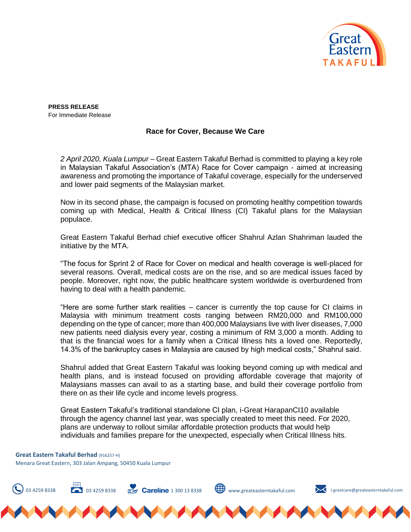

**PRESS RELEASE**  For Immediate Release

## **Race for Cover, Because We Care**

*2 April 2020, Kuala Lumpur* – Great Eastern Takaful Berhad is committed to playing a key role in Malaysian Takaful Association's (MTA) Race for Cover campaign - aimed at increasing awareness and promoting the importance of Takaful coverage, especially for the underserved and lower paid segments of the Malaysian market.

Now in its second phase, the campaign is focused on promoting healthy competition towards coming up with Medical, Health & Critical Illness (CI) Takaful plans for the Malaysian populace.

Great Eastern Takaful Berhad chief executive officer Shahrul Azlan Shahriman lauded the initiative by the MTA.

"The focus for Sprint 2 of Race for Cover on medical and health coverage is well-placed for several reasons. Overall, medical costs are on the rise, and so are medical issues faced by people. Moreover, right now, the public healthcare system worldwide is overburdened from having to deal with a health pandemic.

"Here are some further stark realities – cancer is currently the top cause for CI claims in Malaysia with minimum treatment costs ranging between RM20,000 and RM100,000 depending on the type of cancer; more than 400,000 Malaysians live with liver diseases, 7,000 new patients need dialysis every year, costing a minimum of RM 3,000 a month. Adding to that is the financial woes for a family when a Critical Illness hits a loved one. Reportedly, 14.3% of the bankruptcy cases in Malaysia are caused by high medical costs," Shahrul said.

Shahrul added that Great Eastern Takaful was looking beyond coming up with medical and health plans, and is instead focused on providing affordable coverage that majority of Malaysians masses can avail to as a starting base, and build their coverage portfolio from there on as their life cycle and income levels progress.

Great Eastern Takaful's traditional standalone CI plan, i-Great HarapanCI10 available through the agency channel last year, was specially created to meet this need. For 2020, plans are underway to rollout similar affordable protection products that would help individuals and families prepare for the unexpected, especially when Critical Illness hits.

**Great Eastern Takaful Berhad** (916257-H) Menara Great Eastern, 303 Jalan Ampang, 50450 Kuala Lumpur